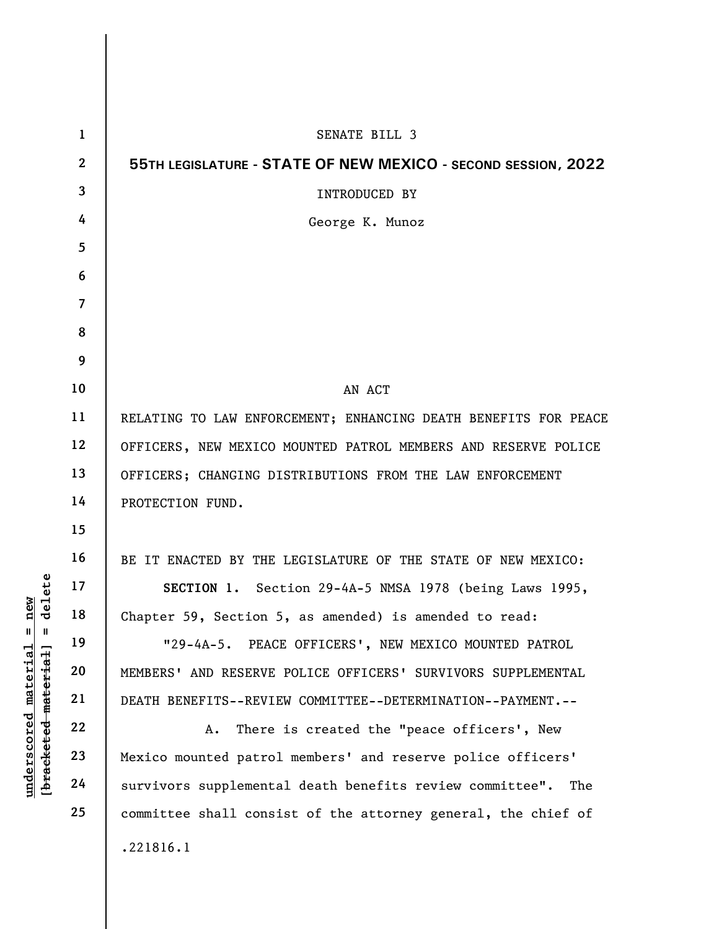|                                           | $\mathbf{1}$   | SENATE BILL 3                                                   |
|-------------------------------------------|----------------|-----------------------------------------------------------------|
|                                           | $\overline{2}$ | 55TH LEGISLATURE - STATE OF NEW MEXICO - SECOND SESSION, 2022   |
|                                           | 3              | <b>INTRODUCED BY</b>                                            |
|                                           | 4              | George K. Munoz                                                 |
|                                           | 5              |                                                                 |
|                                           | 6              |                                                                 |
|                                           | $\overline{7}$ |                                                                 |
|                                           | 8              |                                                                 |
|                                           | 9              |                                                                 |
|                                           | 10             | AN ACT                                                          |
|                                           | 11             | RELATING TO LAW ENFORCEMENT; ENHANCING DEATH BENEFITS FOR PEACE |
|                                           | 12             | OFFICERS, NEW MEXICO MOUNTED PATROL MEMBERS AND RESERVE POLICE  |
|                                           | 13             | OFFICERS; CHANGING DISTRIBUTIONS FROM THE LAW ENFORCEMENT       |
|                                           | 14             | PROTECTION FUND.                                                |
|                                           | 15             |                                                                 |
|                                           | 16             | BE IT ENACTED BY THE LEGISLATURE OF THE STATE OF NEW MEXICO:    |
| ilete                                     | 17             | SECTION 1. Section 29-4A-5 NMSA 1978 (being Laws 1995,          |
| new<br>ರ                                  | 18             | Chapter 59, Section 5, as amended) is amended to read:          |
| Ш                                         | 19             | "29-4A-5. PEACE OFFICERS', NEW MEXICO MOUNTED PATROL            |
| $\mathop{\mathtt{materidal}}$<br>material | 20             | MEMBERS' AND RESERVE POLICE OFFICERS' SURVIVORS SUPPLEMENTAL    |
|                                           | 21             | DEATH BENEFITS--REVIEW COMMITTEE--DETERMINATION--PAYMENT.--     |
|                                           | 22             | There is created the "peace officers', New<br>Α.                |
| underscored<br>[ <del>bracketed</del>     | 23             | Mexico mounted patrol members' and reserve police officers'     |
|                                           | 24             | survivors supplemental death benefits review committee".<br>The |
|                                           | 25             | committee shall consist of the attorney general, the chief of   |
|                                           |                | .221816.1                                                       |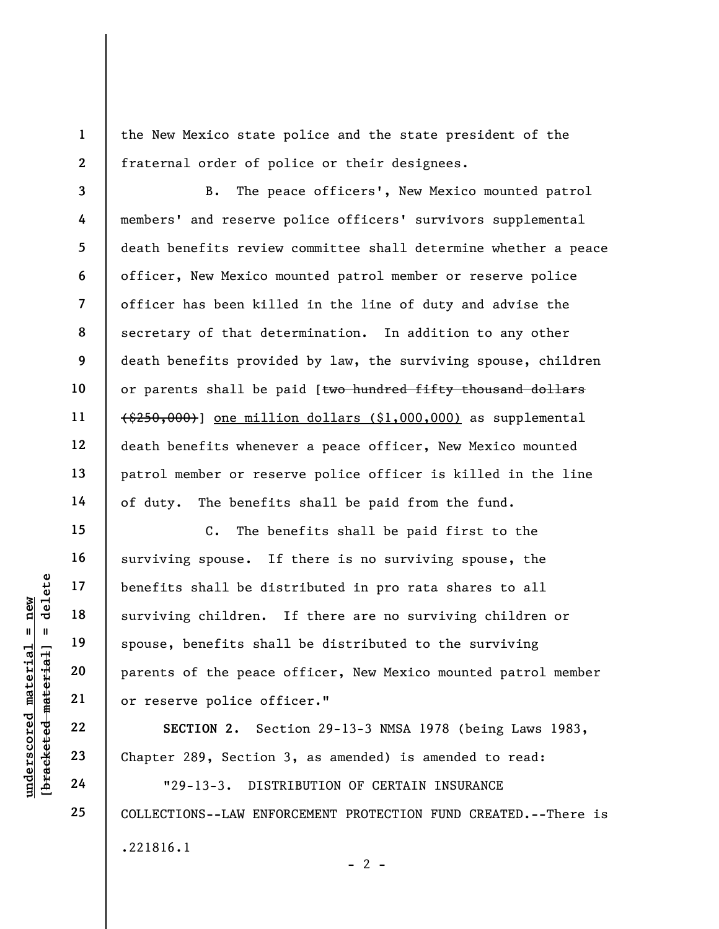the New Mexico state police and the state president of the fraternal order of police or their designees.

B. The peace officers', New Mexico mounted patrol members' and reserve police officers' survivors supplemental death benefits review committee shall determine whether a peace officer, New Mexico mounted patrol member or reserve police officer has been killed in the line of duty and advise the secretary of that determination. In addition to any other death benefits provided by law, the surviving spouse, children or parents shall be paid [two hundred fifty thousand dollars (\$250,000)] one million dollars (\$1,000,000) as supplemental death benefits whenever a peace officer, New Mexico mounted patrol member or reserve police officer is killed in the line of duty. The benefits shall be paid from the fund.

understand to the peace<br>
understand material surviving children.<br>
understand and parents of the peace<br>
or reserve police off<br>
surviving children.<br>
spouse, benefits shall<br>
parents of the peace<br>
or reserve police off<br>
sECTIO C. The benefits shall be paid first to the surviving spouse. If there is no surviving spouse, the benefits shall be distributed in pro rata shares to all surviving children. If there are no surviving children or spouse, benefits shall be distributed to the surviving parents of the peace officer, New Mexico mounted patrol member or reserve police officer."

SECTION 2. Section 29-13-3 NMSA 1978 (being Laws 1983, Chapter 289, Section 3, as amended) is amended to read:

"29-13-3. DISTRIBUTION OF CERTAIN INSURANCE COLLECTIONS--LAW ENFORCEMENT PROTECTION FUND CREATED.--There is .221816.1  $- 2 -$ 

1

2

3

4

5

6

7

8

9

10

11

12

13

14

15

16

17

18

19

20

21

22

23

24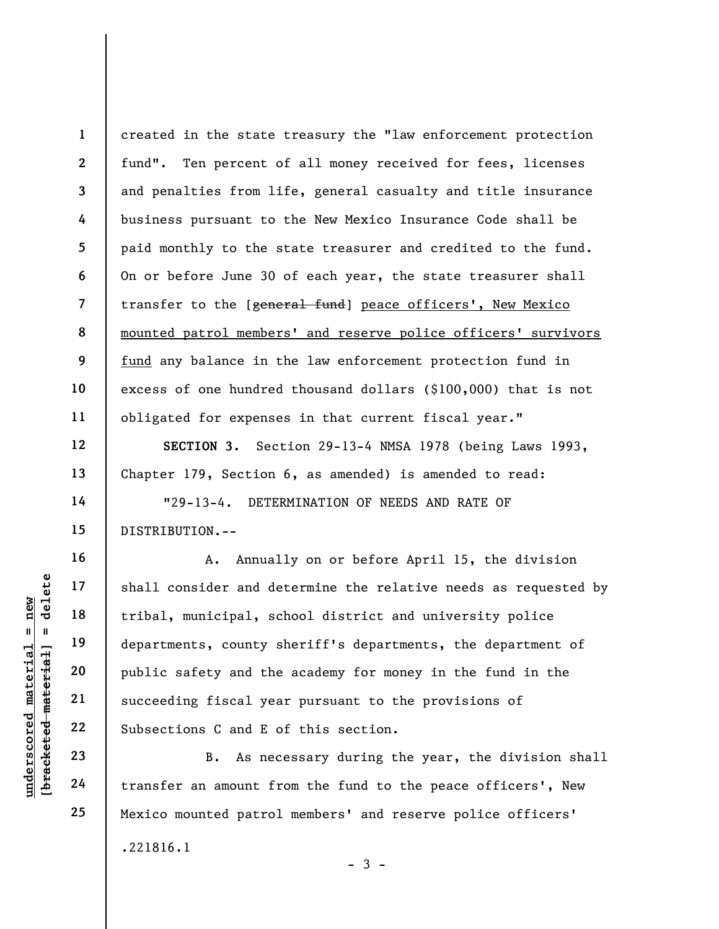1 2 3 4 5 6 7 8 9 10 11 created in the state treasury the "law enforcement protection fund". Ten percent of all money received for fees, licenses and penalties from life, general casualty and title insurance business pursuant to the New Mexico Insurance Code shall be paid monthly to the state treasurer and credited to the fund. On or before June 30 of each year, the state treasurer shall transfer to the [general fund] peace officers', New Mexico mounted patrol members' and reserve police officers' survivors fund any balance in the law enforcement protection fund in excess of one hundred thousand dollars (\$100,000) that is not obligated for expenses in that current fiscal year."

SECTION 3. Section 29-13-4 NMSA 1978 (being Laws 1993, Chapter 179, Section 6, as amended) is amended to read:

"29-13-4. DETERMINATION OF NEEDS AND RATE OF DISTRIBUTION.--

underscored material = new [bracketed material] = delete A. Annually on or before April 15, the division shall consider and determine the relative needs as requested by tribal, municipal, school district and university police departments, county sheriff's departments, the department of public safety and the academy for money in the fund in the succeeding fiscal year pursuant to the provisions of Subsections C and E of this section.

B. As necessary during the year, the division shall transfer an amount from the fund to the peace officers', New Mexico mounted patrol members' and reserve police officers' .221816.1

 $-3 -$ 

12

13

14

15

16

17

18

19

20

21

22

23

24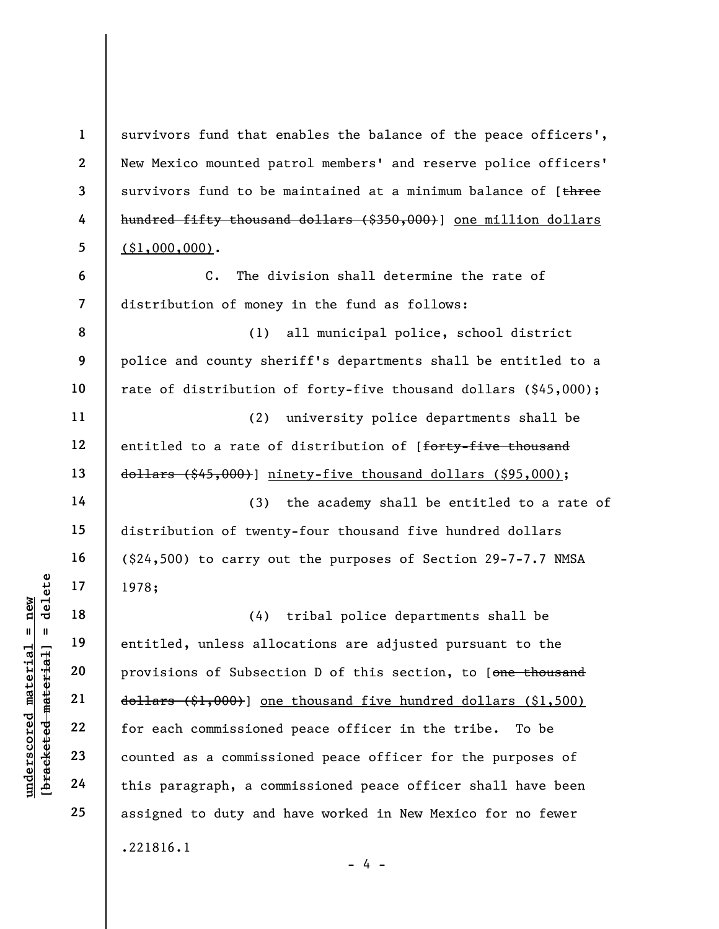under 17<br>
and 18<br>
1978;<br>
1978;<br>
1978;<br>
1978;<br>
1978;<br>
1978;<br>
1978;<br>
28<br>
entitled, unless allo<br>
provisions of Subsect<br>
provisions of Subsect<br>
21<br>
dollars (\$1,000)] one<br>
for each commissioned<br>
counted as a commission<br>
24<br>
thi 1 2 3 4 5 6 7 8 9 10 11 12 13 14 15 16 17 18 19 20 21 22 23 24 25 survivors fund that enables the balance of the peace officers', New Mexico mounted patrol members' and reserve police officers' survivors fund to be maintained at a minimum balance of [three hundred fifty thousand dollars (\$350,000)] one million dollars  $($ \$1,000,000). C. The division shall determine the rate of distribution of money in the fund as follows: (1) all municipal police, school district police and county sheriff's departments shall be entitled to a rate of distribution of forty-five thousand dollars (\$45,000); (2) university police departments shall be entitled to a rate of distribution of [forty-five thousand dollars (\$45,000)] ninety-five thousand dollars (\$95,000); (3) the academy shall be entitled to a rate of distribution of twenty-four thousand five hundred dollars (\$24,500) to carry out the purposes of Section 29-7-7.7 NMSA 1978; (4) tribal police departments shall be entitled, unless allocations are adjusted pursuant to the provisions of Subsection D of this section, to [one thousand dollars (\$1,000)] one thousand five hundred dollars (\$1,500) for each commissioned peace officer in the tribe. To be counted as a commissioned peace officer for the purposes of this paragraph, a commissioned peace officer shall have been assigned to duty and have worked in New Mexico for no fewer .221816.1

- 4 -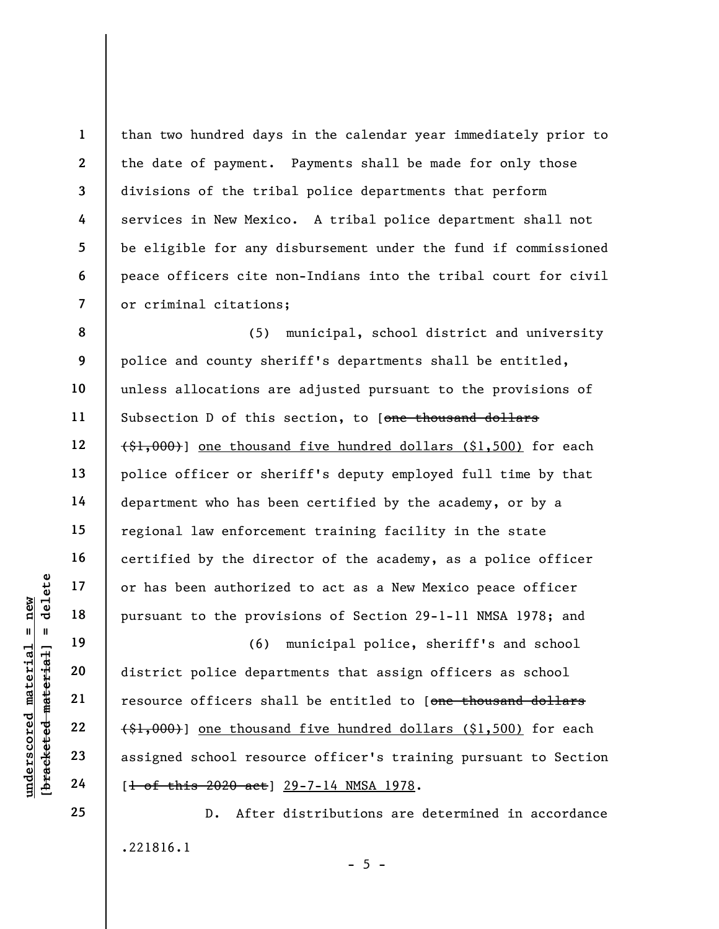2 3 7 than two hundred days in the calendar year immediately prior to the date of payment. Payments shall be made for only those divisions of the tribal police departments that perform services in New Mexico. A tribal police department shall not be eligible for any disbursement under the fund if commissioned peace officers cite non-Indians into the tribal court for civil or criminal citations;

8 9 10 11 12 13 14 15 16 17 18 (5) municipal, school district and university police and county sheriff's departments shall be entitled, unless allocations are adjusted pursuant to the provisions of Subsection D of this section, to [one thousand dollars  $(1,000)$ ] one thousand five hundred dollars (\$1,500) for each police officer or sheriff's deputy employed full time by that department who has been certified by the academy, or by a regional law enforcement training facility in the state certified by the director of the academy, as a police officer or has been authorized to act as a New Mexico peace officer pursuant to the provisions of Section 29-1-11 NMSA 1978; and

underscored material = new [bracketed material] = delete (6) municipal police, sheriff's and school district police departments that assign officers as school resource officers shall be entitled to [one thousand dollars (\$1,000)] one thousand five hundred dollars (\$1,500) for each assigned school resource officer's training pursuant to Section [<del>1 of this 2020 act</del>] 29-7-14 NMSA 1978.

> D. After distributions are determined in accordance .221816.1  $- 5 -$

19

20

21

22

23

24

25

1

4

5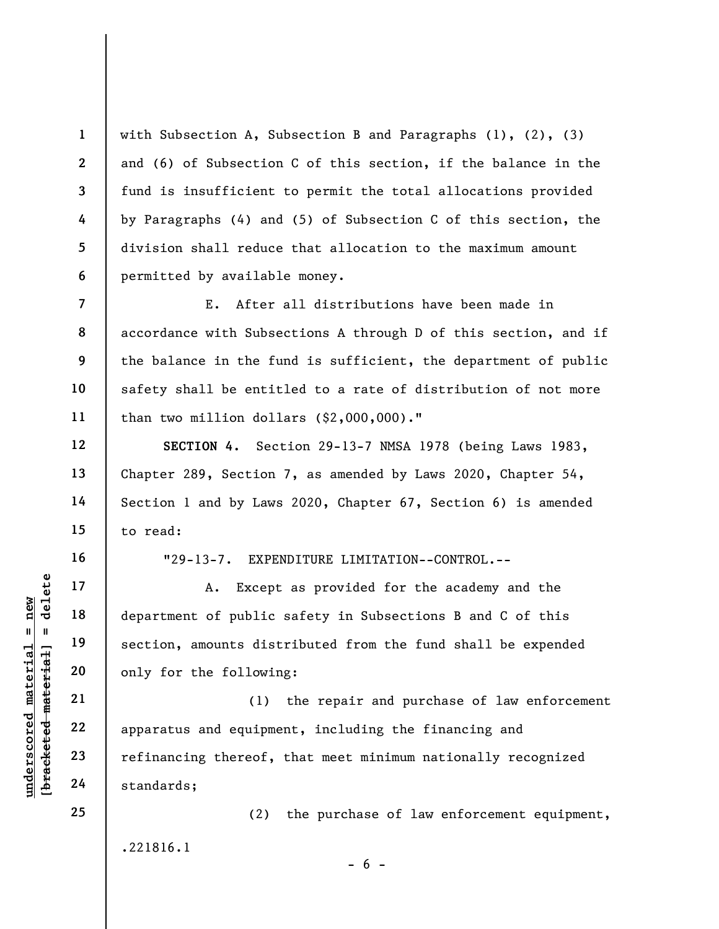with Subsection A, Subsection B and Paragraphs (1), (2), (3) and (6) of Subsection C of this section, if the balance in the fund is insufficient to permit the total allocations provided by Paragraphs (4) and (5) of Subsection C of this section, the division shall reduce that allocation to the maximum amount permitted by available money.

E. After all distributions have been made in accordance with Subsections A through D of this section, and if the balance in the fund is sufficient, the department of public safety shall be entitled to a rate of distribution of not more than two million dollars (\$2,000,000)."

SECTION 4. Section 29-13-7 NMSA 1978 (being Laws 1983, Chapter 289, Section 7, as amended by Laws 2020, Chapter 54, Section 1 and by Laws 2020, Chapter 67, Section 6) is amended to read:

"29-13-7. EXPENDITURE LIMITATION--CONTROL.--

A. Except as provided for the academy and the department of public safety in Subsections B and C of this section, amounts distributed from the fund shall be expended only for the following:

underschied a material material except<br>
and the section, amounts dist<br>
apparatus and equipme<br>
and the section, amounts dist<br>
only for the followin<br>
(1)<br>
apparatus and equipme<br>
refinancing thereof,<br>
24 standards; (1) the repair and purchase of law enforcement apparatus and equipment, including the financing and refinancing thereof, that meet minimum nationally recognized standards;

> (2) the purchase of law enforcement equipment, .221816.1

> > $- 6 -$

1

2

3

4

5

6

7

8

9

10

11

12

13

14

15

16

17

18

19

20

21

22

23

24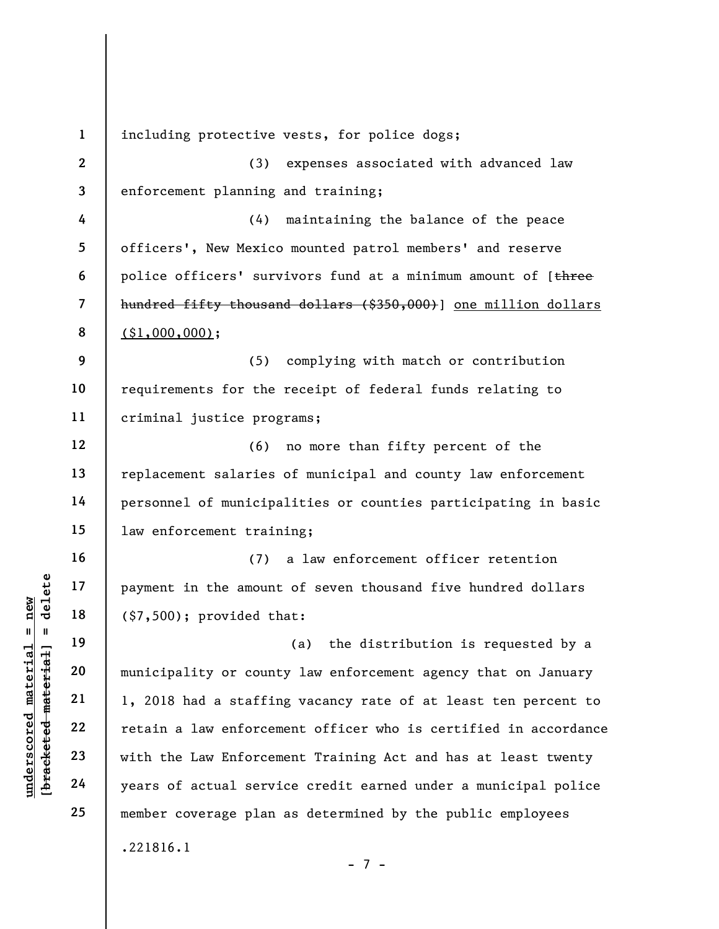understand material is the amount<br>  $\begin{bmatrix}\n\frac{1}{2} & \frac{1}{2} & \frac{1}{2} \\
\frac{1}{2} & \frac{1}{2} & \frac{1}{2} \\
\frac{1}{2} & \frac{1}{2} & \frac{1}{2} \\
\frac{1}{2} & \frac{1}{2} & \frac{1}{2} \\
\frac{1}{2} & \frac{1}{2} & \frac{1}{2} \\
\frac{1}{2} & \frac{1}{2} & \frac{1}{2} \\
\frac{1}{2} & \frac{1}{2} & \frac{1}{2} \\
\frac{1}{2} & \frac{$ 1 2 3 4 5 6 7 8 9 10 11 12 13 14 15 16 17 18 19 20 21 22 23 24 25 including protective vests, for police dogs; (3) expenses associated with advanced law enforcement planning and training; (4) maintaining the balance of the peace officers', New Mexico mounted patrol members' and reserve police officers' survivors fund at a minimum amount of [three hundred fifty thousand dollars (\$350,000)] one million dollars  $($ \$1,000,000); (5) complying with match or contribution requirements for the receipt of federal funds relating to criminal justice programs; (6) no more than fifty percent of the replacement salaries of municipal and county law enforcement personnel of municipalities or counties participating in basic law enforcement training; (7) a law enforcement officer retention payment in the amount of seven thousand five hundred dollars (\$7,500); provided that: (a) the distribution is requested by a municipality or county law enforcement agency that on January 1, 2018 had a staffing vacancy rate of at least ten percent to retain a law enforcement officer who is certified in accordance with the Law Enforcement Training Act and has at least twenty years of actual service credit earned under a municipal police member coverage plan as determined by the public employees .221816.1 - 7 -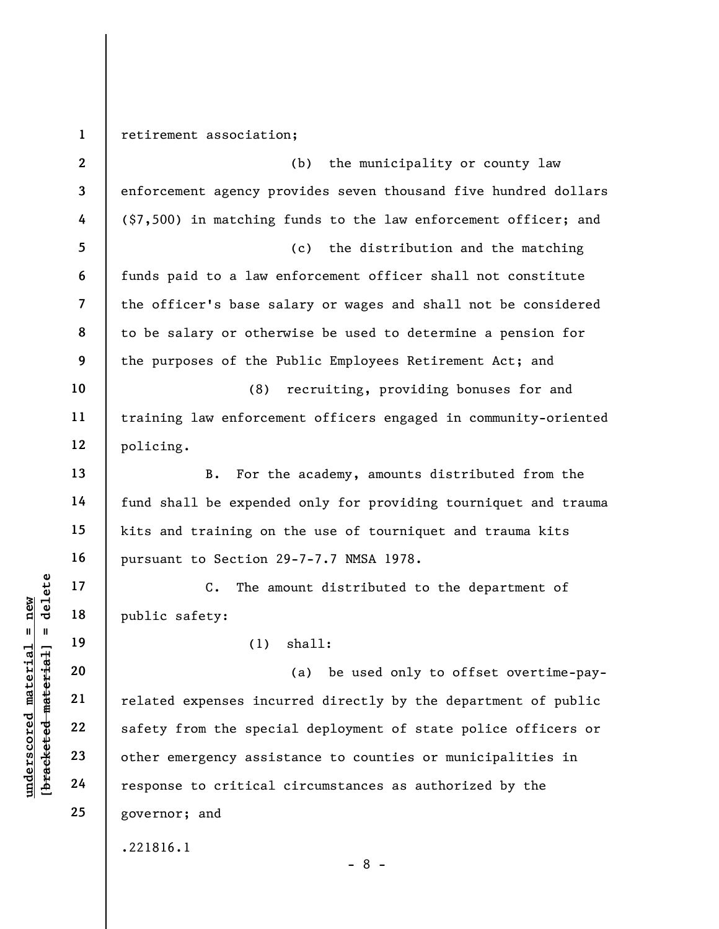underscored material material public safety:<br>  $\begin{bmatrix}\n1 & 1 & 19 \\
0 & 1 & 19 \\
0 & 20 \\
0 & 0 & 21 \\
0 & 0 & 22 \\
0 & 0 & 23 \\
0 & 0 & 23 \\
0 & 0 & 24\n\end{bmatrix}$  related expenses incu<br>
expected material care are seed of the specified<br>  $\begin{bmatrix}\n2 & 2 & 2 \\
2 &$ 1 2 3 4 5 6 7 8 9 10 11 12 13 14 15 16 17 18 19 20 21 22 23 24 25 retirement association; (b) the municipality or county law enforcement agency provides seven thousand five hundred dollars (\$7,500) in matching funds to the law enforcement officer; and (c) the distribution and the matching funds paid to a law enforcement officer shall not constitute the officer's base salary or wages and shall not be considered to be salary or otherwise be used to determine a pension for the purposes of the Public Employees Retirement Act; and (8) recruiting, providing bonuses for and training law enforcement officers engaged in community-oriented policing. B. For the academy, amounts distributed from the fund shall be expended only for providing tourniquet and trauma kits and training on the use of tourniquet and trauma kits pursuant to Section 29-7-7.7 NMSA 1978. C. The amount distributed to the department of public safety: (1) shall: (a) be used only to offset overtime-payrelated expenses incurred directly by the department of public safety from the special deployment of state police officers or other emergency assistance to counties or municipalities in response to critical circumstances as authorized by the governor; and .221816.1

- 8 -